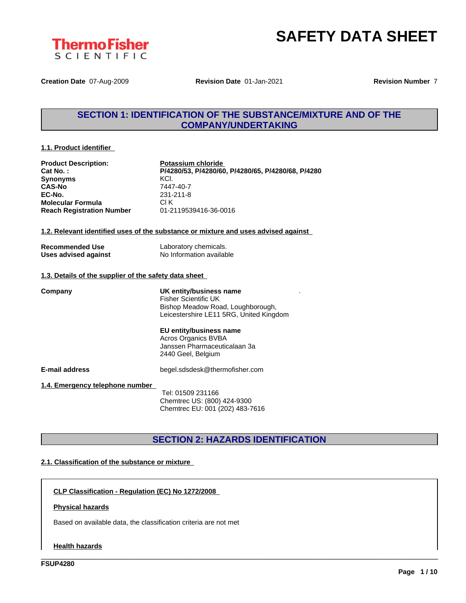



**Creation Date** 07-Aug-2009 **Revision Date** 01-Jan-2021 **Revision Number** 7

### **SECTION 1: IDENTIFICATION OF THE SUBSTANCE/MIXTURE AND OF THE COMPANY/UNDERTAKING**

#### **1.1. Product identifier**

| <b>Product Description:</b>                           | Potassium chloride                                                                 |
|-------------------------------------------------------|------------------------------------------------------------------------------------|
| Cat No.:                                              | P/4280/53, P/4280/60, P/4280/65, P/4280/68, P/4280                                 |
| <b>Synonyms</b>                                       | KCI.                                                                               |
| <b>CAS-No</b>                                         | 7447-40-7                                                                          |
| EC-No.                                                | 231-211-8                                                                          |
| <b>Molecular Formula</b>                              | CI K                                                                               |
| <b>Reach Registration Number</b>                      | 01-2119539416-36-0016                                                              |
|                                                       |                                                                                    |
|                                                       | 1.2. Relevant identified uses of the substance or mixture and uses advised against |
|                                                       |                                                                                    |
| <b>Recommended Use</b>                                | Laboratory chemicals.                                                              |
| Uses advised against                                  | No Information available                                                           |
|                                                       |                                                                                    |
| 1.3. Details of the supplier of the safety data sheet |                                                                                    |
| Company                                               | UK entity/business name                                                            |
|                                                       | <b>Fisher Scientific UK</b>                                                        |
|                                                       | Bishop Meadow Road, Loughborough,                                                  |
|                                                       | Leicestershire LE11 5RG, United Kingdom                                            |
|                                                       |                                                                                    |
|                                                       | EU entity/business name                                                            |
|                                                       | Acros Organics BVBA                                                                |
|                                                       | Janssen Pharmaceuticalaan 3a                                                       |
|                                                       | 2440 Geel, Belgium                                                                 |
| <b>E-mail address</b>                                 | begel.sdsdesk@thermofisher.com                                                     |
|                                                       |                                                                                    |
| 1.4. Emergency telephone number                       |                                                                                    |
|                                                       | Tel: 01509 231166                                                                  |
|                                                       | Chemtrec US: (800) 424-9300                                                        |
|                                                       | Chemtrec EU: 001 (202) 483-7616                                                    |

### **SECTION 2: HAZARDS IDENTIFICATION**

\_\_\_\_\_\_\_\_\_\_\_\_\_\_\_\_\_\_\_\_\_\_\_\_\_\_\_\_\_\_\_\_\_\_\_\_\_\_\_\_\_\_\_\_\_\_\_\_\_\_\_\_\_\_\_\_\_\_\_\_\_\_\_\_\_\_\_\_\_\_\_\_\_\_\_\_\_\_\_\_\_\_\_\_\_\_\_\_\_\_\_\_\_\_

#### **2.1. Classification of the substance or mixture**

**CLP Classification - Regulation (EC) No 1272/2008**

#### **Physical hazards**

Based on available data, the classification criteria are not met

#### **Health hazards**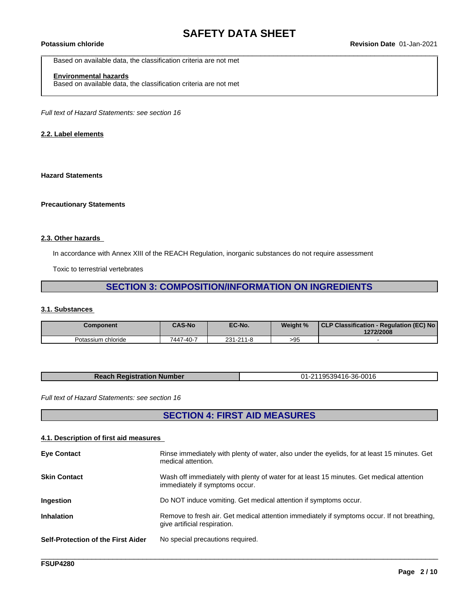Based on available data, the classification criteria are not met

### **Environmental hazards**

Based on available data, the classification criteria are not met

*Full text of Hazard Statements: see section 16*

#### **2.2. Label elements**

#### **Hazard Statements**

#### **Precautionary Statements**

#### **2.3. Other hazards**

In accordance with Annex XIII of the REACH Regulation, inorganic substances do not require assessment

Toxic to terrestrial vertebrates

### **SECTION 3: COMPOSITION/INFORMATION ON INGREDIENTS**

#### **3.1. Substances**

| <b>Component</b>   | <b>CAS-No</b> | EC-No.    | Weight % | CLP Classification - Regulation (EC) No<br>1272/2008 |
|--------------------|---------------|-----------|----------|------------------------------------------------------|
| Potassium chloride | 7447-40-7     | 231-211-8 | >95      |                                                      |

| -0016<br>ω,<br>$\sim$<br>TACI. |
|--------------------------------|
|--------------------------------|

*Full text of Hazard Statements: see section 16*

### **SECTION 4: FIRST AID MEASURES**

#### **4.1. Description of first aid measures**

| Wash off immediately with plenty of water for at least 15 minutes. Get medical attention<br><b>Skin Contact</b><br>immediately if symptoms occur.<br>Do NOT induce vomiting. Get medical attention if symptoms occur.<br><b>Ingestion</b><br><b>Inhalation</b><br>Remove to fresh air. Get medical attention immediately if symptoms occur. If not breathing,<br>give artificial respiration.<br><b>Self-Protection of the First Aider</b><br>No special precautions required. | <b>Eye Contact</b> | Rinse immediately with plenty of water, also under the eyelids, for at least 15 minutes. Get<br>medical attention. |
|--------------------------------------------------------------------------------------------------------------------------------------------------------------------------------------------------------------------------------------------------------------------------------------------------------------------------------------------------------------------------------------------------------------------------------------------------------------------------------|--------------------|--------------------------------------------------------------------------------------------------------------------|
|                                                                                                                                                                                                                                                                                                                                                                                                                                                                                |                    |                                                                                                                    |
|                                                                                                                                                                                                                                                                                                                                                                                                                                                                                |                    |                                                                                                                    |
|                                                                                                                                                                                                                                                                                                                                                                                                                                                                                |                    |                                                                                                                    |
|                                                                                                                                                                                                                                                                                                                                                                                                                                                                                |                    |                                                                                                                    |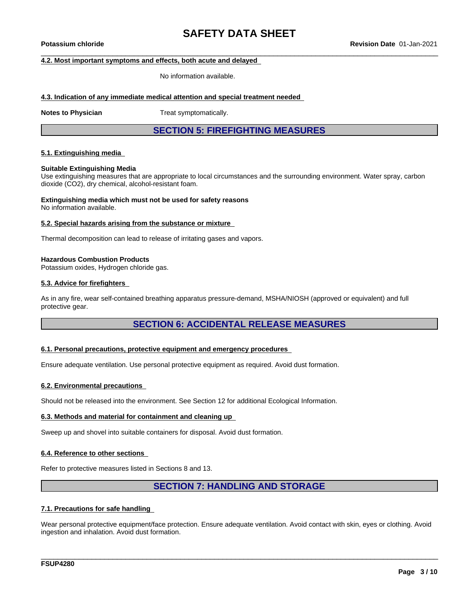#### **4.2. Most important symptoms and effects, both acute and delayed**

No information available.

#### **4.3. Indication of any immediate medical attention and special treatment needed**

**Notes to Physician** Treat symptomatically.

**SECTION 5: FIREFIGHTING MEASURES**

#### **5.1. Extinguishing media**

#### **Suitable Extinguishing Media**

Use extinguishing measures that are appropriate to local circumstances and the surrounding environment. Water spray, carbon dioxide (CO2), dry chemical, alcohol-resistant foam.

### **Extinguishing media which must not be used for safety reasons**

No information available.

#### **5.2. Special hazards arising from the substance or mixture**

Thermal decomposition can lead to release of irritating gases and vapors.

#### **Hazardous Combustion Products**

Potassium oxides, Hydrogen chloride gas.

#### **5.3. Advice for firefighters**

As in any fire, wear self-contained breathing apparatus pressure-demand, MSHA/NIOSH (approved or equivalent) and full protective gear.

### **SECTION 6: ACCIDENTAL RELEASE MEASURES**

#### **6.1. Personal precautions, protective equipment and emergency procedures**

Ensure adequate ventilation. Use personal protective equipment as required. Avoid dust formation.

#### **6.2. Environmental precautions**

Should not be released into the environment. See Section 12 for additional Ecological Information.

#### **6.3. Methods and material for containment and cleaning up**

Sweep up and shovel into suitable containers for disposal. Avoid dust formation.

#### **6.4. Reference to other sections**

Refer to protective measures listed in Sections 8 and 13.

### **SECTION 7: HANDLING AND STORAGE**

#### **7.1. Precautions for safe handling**

Wear personal protective equipment/face protection. Ensure adequate ventilation. Avoid contact with skin, eyes or clothing. Avoid ingestion and inhalation. Avoid dust formation.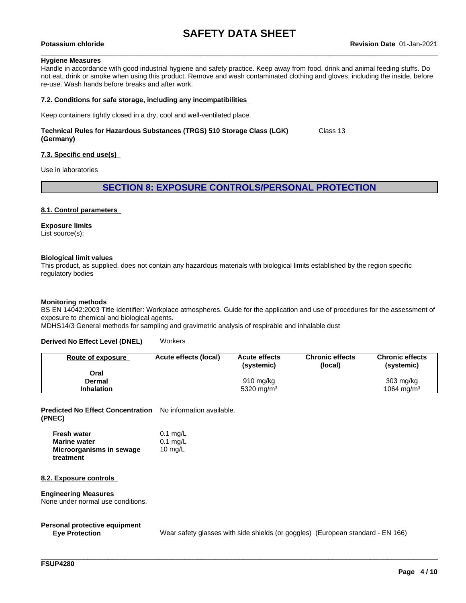#### **Hygiene Measures**

Handle in accordance with good industrial hygiene and safety practice. Keep away from food, drink and animal feeding stuffs. Do not eat, drink or smoke when using this product. Remove and wash contaminated clothing and gloves, including the inside, before re-use. Wash hands before breaks and after work.

#### **7.2. Conditions for safe storage, including any incompatibilities**

Keep containers tightly closed in a dry, cool and well-ventilated place.

#### **Technical Rules for Hazardous Substances (TRGS) 510 Storage Class (LGK) (Germany)** Class 13

#### **7.3. Specific end use(s)**

Use in laboratories

#### **SECTION 8: EXPOSURE CONTROLS/PERSONAL PROTECTION**

#### **8.1. Control parameters**

#### **Exposure limits**

List source(s):

#### **Biological limit values**

This product, as supplied, does not contain any hazardous materials with biological limits established by the region specific regulatory bodies

#### **Monitoring methods**

BS EN 14042:2003 Title Identifier: Workplace atmospheres. Guide for the application and use of procedures for the assessment of exposure to chemical and biological agents.

MDHS14/3 General methods for sampling and gravimetric analysis of respirable and inhalable dust

#### **Derived No Effect Level (DNEL)** Workers

| Route of exposure | Acute effects (local) | <b>Acute effects</b><br>(systemic) | <b>Chronic effects</b><br>(local) | <b>Chronic effects</b><br>(systemic) |
|-------------------|-----------------------|------------------------------------|-----------------------------------|--------------------------------------|
| Oral              |                       |                                    |                                   |                                      |
| Dermal            |                       | 910 mg/kg                          |                                   | $303 \text{ mg/kg}$                  |
| <b>Inhalation</b> |                       | 5320 mg/m <sup>3</sup>             |                                   | $1064 \text{ ma/m}^3$                |

**Predicted No Effect Concentration** No information available. **(PNEC)**

| <b>Fresh water</b>       | $0.1$ mg/L |
|--------------------------|------------|
| <b>Marine water</b>      | $0.1$ mg/L |
| Microorganisms in sewage | 10 $mq/L$  |
| treatment                |            |

#### **8.2. Exposure controls**

#### **Engineering Measures**

None under normal use conditions.

# **Personal protective equipment**

Wear safety glasses with side shields (or goggles) (European standard - EN 166)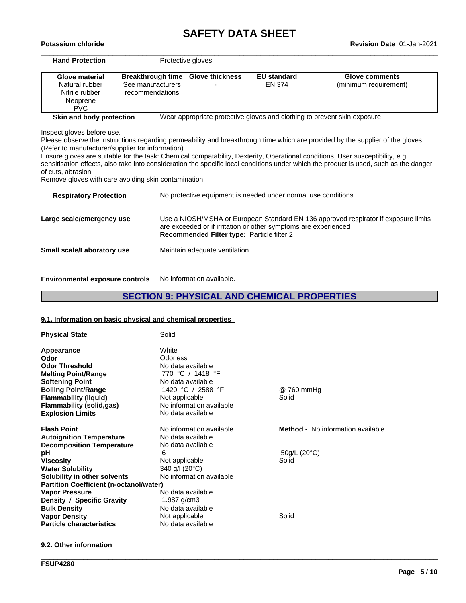# **SAFETY DATA SHEET**<br>Revision Date 01-Jan-2021

| Breakthrough time Glove thickness<br><b>EU standard</b><br><b>Glove material</b><br><b>Glove comments</b>                                                                          |  |
|------------------------------------------------------------------------------------------------------------------------------------------------------------------------------------|--|
| Natural rubber<br>See manufacturers<br>EN 374<br>(minimum requirement)                                                                                                             |  |
| Nitrile rubber<br>recommendations                                                                                                                                                  |  |
| Neoprene                                                                                                                                                                           |  |
| <b>PVC</b>                                                                                                                                                                         |  |
| Skin and body protection<br>Wear appropriate protective gloves and clothing to prevent skin exposure                                                                               |  |
|                                                                                                                                                                                    |  |
| Inspect gloves before use.                                                                                                                                                         |  |
| Please observe the instructions regarding permeability and breakthrough time which are provided by the supplier of the gloves.<br>(Refer to manufacturer/supplier for information) |  |
| Ensure gloves are suitable for the task: Chemical compatability, Dexterity, Operational conditions, User susceptibility, e.g.                                                      |  |
| sensitisation effects, also take into consideration the specific local conditions under which the product is used, such as the danger                                              |  |
| of cuts, abrasion.                                                                                                                                                                 |  |
| Remove gloves with care avoiding skin contamination.                                                                                                                               |  |
|                                                                                                                                                                                    |  |
| No protective equipment is needed under normal use conditions.<br><b>Respiratory Protection</b>                                                                                    |  |
|                                                                                                                                                                                    |  |
| Use a NIOSH/MSHA or European Standard EN 136 approved respirator if exposure limits<br>Large scale/emergency use                                                                   |  |
| are exceeded or if irritation or other symptoms are experienced                                                                                                                    |  |
| Recommended Filter type: Particle filter 2                                                                                                                                         |  |
| Maintain adequate ventilation<br><b>Small scale/Laboratory use</b>                                                                                                                 |  |

**Environmental exposure controls** No information available.

### **SECTION 9: PHYSICAL AND CHEMICAL PROPERTIES**

\_\_\_\_\_\_\_\_\_\_\_\_\_\_\_\_\_\_\_\_\_\_\_\_\_\_\_\_\_\_\_\_\_\_\_\_\_\_\_\_\_\_\_\_\_\_\_\_\_\_\_\_\_\_\_\_\_\_\_\_\_\_\_\_\_\_\_\_\_\_\_\_\_\_\_\_\_\_\_\_\_\_\_\_\_\_\_\_\_\_\_\_\_\_

#### **9.1. Information on basic physical and chemical properties**

| <b>Physical State</b>                          | Solid                    |                                   |
|------------------------------------------------|--------------------------|-----------------------------------|
| Appearance                                     | White                    |                                   |
| Odor                                           | Odorless                 |                                   |
| <b>Odor Threshold</b>                          | No data available        |                                   |
| <b>Melting Point/Range</b>                     | 770 °C / 1418 °F         |                                   |
| <b>Softening Point</b>                         | No data available        |                                   |
| <b>Boiling Point/Range</b>                     | 1420 °C / 2588 °F        | @ 760 mmHg                        |
| <b>Flammability (liquid)</b>                   | Not applicable           | Solid                             |
| Flammability (solid,gas)                       | No information available |                                   |
| <b>Explosion Limits</b>                        | No data available        |                                   |
| <b>Flash Point</b>                             | No information available | Method - No information available |
| <b>Autoignition Temperature</b>                | No data available        |                                   |
| <b>Decomposition Temperature</b>               | No data available        |                                   |
| рH                                             | 6                        | $50q/L$ (20 $°C$ )                |
| <b>Viscosity</b>                               | Not applicable           | Solid                             |
| <b>Water Solubility</b>                        | 340 g/l (20°C)           |                                   |
| Solubility in other solvents                   | No information available |                                   |
| <b>Partition Coefficient (n-octanol/water)</b> |                          |                                   |
| <b>Vapor Pressure</b>                          | No data available        |                                   |
| Density / Specific Gravity                     | 1.987 $g/cm3$            |                                   |
| <b>Bulk Density</b>                            | No data available        |                                   |
| <b>Vapor Density</b>                           | Not applicable           | Solid                             |
| <b>Particle characteristics</b>                | No data available        |                                   |

**9.2. Other information**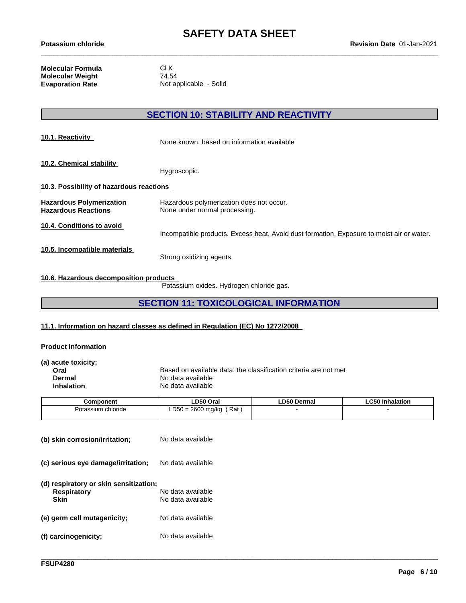**Molecular Formula** Cl K<br> **Molecular Weight** 74.54 **Molecular Weight<br>Evaporation Rate** 

**Not applicable - Solid** 

### **SECTION 10: STABILITY AND REACTIVITY**

| 10.1. Reactivity                                              | None known, based on information available                                                |  |  |
|---------------------------------------------------------------|-------------------------------------------------------------------------------------------|--|--|
| 10.2. Chemical stability                                      | Hygroscopic.                                                                              |  |  |
| 10.3. Possibility of hazardous reactions                      |                                                                                           |  |  |
| <b>Hazardous Polymerization</b><br><b>Hazardous Reactions</b> | Hazardous polymerization does not occur.<br>None under normal processing.                 |  |  |
| 10.4. Conditions to avoid                                     | Incompatible products. Excess heat. Avoid dust formation. Exposure to moist air or water. |  |  |
| 10.5. Incompatible materials                                  | Strong oxidizing agents.                                                                  |  |  |

#### **10.6. Hazardous decomposition products**

Potassium oxides. Hydrogen chloride gas.

### **SECTION 11: TOXICOLOGICAL INFORMATION**

#### **11.1. Information on hazard classes as defined in Regulation (EC) No 1272/2008**

#### **Product Information**

| (a) acute toxicity; |                                                                  |
|---------------------|------------------------------------------------------------------|
| Oral                | Based on available data, the classification criteria are not met |
| Dermal              | No data available                                                |
| <b>Inhalation</b>   | No data available                                                |
|                     |                                                                  |

| Component          | LD50 Oral                                | <b>LD50 Dermal</b> | <b>LC50 Inhalation</b> |
|--------------------|------------------------------------------|--------------------|------------------------|
| Potassium chloride | Rat<br>0 = 2600 ma/ka<br>$R - C$<br>∟ບບບ |                    |                        |
|                    |                                          |                    |                        |

| (b) skin corrosion/irritation;                                       | No data available                      |
|----------------------------------------------------------------------|----------------------------------------|
| (c) serious eye damage/irritation;                                   | No data available                      |
| (d) respiratory or skin sensitization;<br><b>Respiratory</b><br>Skin | No data available<br>No data available |
| (e) germ cell mutagenicity;                                          | No data available                      |
| (f) carcinogenicity;                                                 | No data available                      |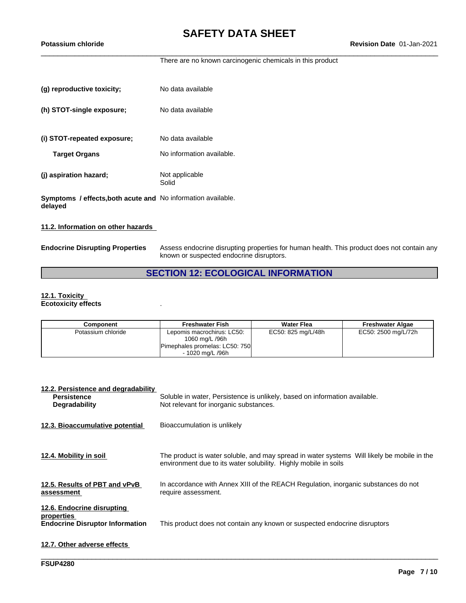There are no known carcinogenic chemicals in this product

| (g) reproductive toxicity;                                              | No data available         |
|-------------------------------------------------------------------------|---------------------------|
| (h) STOT-single exposure;                                               | No data available         |
| (i) STOT-repeated exposure;                                             | No data available         |
| <b>Target Organs</b>                                                    | No information available. |
| (j) aspiration hazard;                                                  | Not applicable<br>Solid   |
| Symptoms / effects, both acute and No information available.<br>delayed |                           |

#### **11.2. Information on other hazards**

**Endocrine Disrupting Properties** Assess endocrine disrupting properties for human health. This product does not contain any known or suspected endocrine disruptors.

### **SECTION 12: ECOLOGICAL INFORMATION**

#### **12.1. Toxicity Ecotoxicity effects** .

| Component          | <b>Freshwater Fish</b>                                                                             | <b>Water Flea</b>  | <b>Freshwater Algae</b> |
|--------------------|----------------------------------------------------------------------------------------------------|--------------------|-------------------------|
| Potassium chloride | Lepomis macrochirus: LC50:<br>1060 mg/L /96h<br>Pimephales promelas: LC50: 750<br>- 1020 ma/L /96h | EC50: 825 mg/L/48h | EC50: 2500 mg/L/72h     |

| 12.2. Persistence and degradability<br><b>Persistence</b><br><b>Degradability</b>  | Soluble in water, Persistence is unlikely, based on information available.<br>Not relevant for inorganic substances.                                          |
|------------------------------------------------------------------------------------|---------------------------------------------------------------------------------------------------------------------------------------------------------------|
| 12.3. Bioaccumulative potential                                                    | Bioaccumulation is unlikely                                                                                                                                   |
| 12.4. Mobility in soil                                                             | The product is water soluble, and may spread in water systems Will likely be mobile in the<br>environment due to its water solubility. Highly mobile in soils |
| 12.5. Results of PBT and vPvB<br>assessment                                        | In accordance with Annex XIII of the REACH Regulation, inorganic substances do not<br>require assessment.                                                     |
| 12.6. Endocrine disrupting<br>properties<br><b>Endocrine Disruptor Information</b> | This product does not contain any known or suspected endocrine disruptors                                                                                     |
| 12.7. Other adverse effects                                                        |                                                                                                                                                               |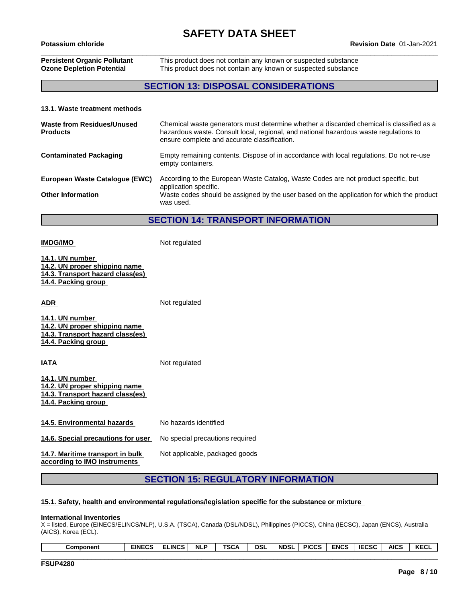### **Persistent Organic Pollutant** This product does not contain any known or suspected substance **Ozone Depletion Potential** This product does not contain any known or suspected substance

### **SECTION 13: DISPOSAL CONSIDERATIONS**

#### **13.1. Waste treatment methods**

| Waste from Residues/Unused<br><b>Products</b> | Chemical waste generators must determine whether a discarded chemical is classified as a<br>hazardous waste. Consult local, regional, and national hazardous waste regulations to<br>ensure complete and accurate classification. |
|-----------------------------------------------|-----------------------------------------------------------------------------------------------------------------------------------------------------------------------------------------------------------------------------------|
| <b>Contaminated Packaging</b>                 | Empty remaining contents. Dispose of in accordance with local regulations. Do not re-use<br>empty containers.                                                                                                                     |
| European Waste Catalogue (EWC)                | According to the European Waste Catalog, Waste Codes are not product specific, but<br>application specific.                                                                                                                       |
| <b>Other Information</b>                      | Waste codes should be assigned by the user based on the application for which the product<br>was used.                                                                                                                            |

#### **SECTION 14: TRANSPORT INFORMATION**

**IMDG/IMO** Not regulated **14.1. UN number 14.2. UN proper shipping name 14.3. Transport hazard class(es) 14.4. Packing group ADR** Not regulated **14.1. UN number 14.2. UN proper shipping name 14.3. Transport hazard class(es) 14.4. Packing group IATA** Not regulated **14.1. UN number 14.2. UN proper shipping name 14.3. Transport hazard class(es) 14.4. Packing group 14.5. Environmental hazards** No hazards identified **14.6. Special precautions for user** No special precautions required Not applicable, packaged goods

**14.7. Maritime transport in bulk according to IMO instruments**

### **SECTION 15: REGULATORY INFORMATION**

#### **15.1. Safety, health and environmental regulations/legislation specific for the substance or mixture**

#### **International Inventories**

X = listed, Europe (EINECS/ELINCS/NLP), U.S.A. (TSCA), Canada (DSL/NDSL), Philippines (PICCS), China (IECSC), Japan (ENCS), Australia (AICS), Korea (ECL).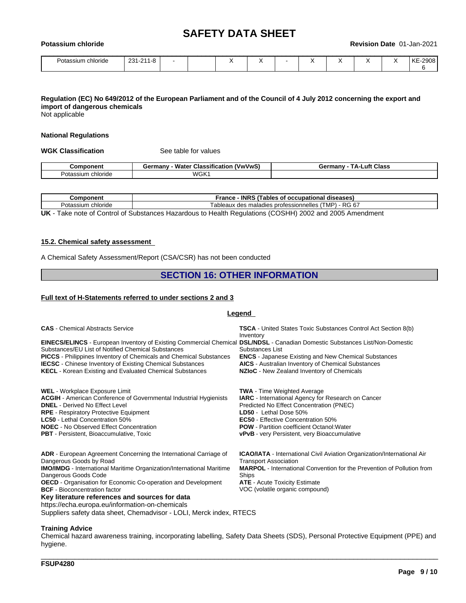| Potassium<br><b>chloride</b> |           |  |  | Revision Date 01-Jan-2021 |           |  |  |  |  |         |
|------------------------------|-----------|--|--|---------------------------|-----------|--|--|--|--|---------|
| Potassium chloride           | 231-211-8 |  |  |                           | $\lambda$ |  |  |  |  | KE-2908 |

### Regulation (EC) No 649/2012 of the European Parliament and of the Council of 4 July 2012 concerning the export and **import of dangerous chemicals**

Not applicable

#### **National Regulations**

**WGK Classification** See table for values

|                          | ---<br><b>Wate</b><br>$\mathbf{r}$<br><b>rmany</b><br>้ V พ/V พ/<br>⊶uassitic<br>.catio <sup>.</sup> | _uft<br><b>Class</b><br>≟armanv<br>JО |
|--------------------------|------------------------------------------------------------------------------------------------------|---------------------------------------|
| ⊇ota<br>$\sim$<br>сполов | WGK                                                                                                  |                                       |

| .<br>onent<br>∍omb⁄             | $\sim$ - INPC.<br>Trance<br>diseases<br>occupation<br>. ables                                                           |
|---------------------------------|-------------------------------------------------------------------------------------------------------------------------|
| Potass <sub>"</sub><br>chloride | $ \sim$<br>DC.<br>√ MP∖<br>ab<br>nelles<br>leaux<br>nr<br>ofessionn<br>maladies<br>des<br>O<br>$\overline{\phantom{a}}$ |

**UK** - Take note of Control of Substances Hazardous to Health Regulations (COSHH) 2002 and 2005 Amendment

#### **15.2. Chemical safety assessment**

A Chemical Safety Assessment/Report (CSA/CSR) has not been conducted

#### **SECTION 16: OTHER INFORMATION**

#### **Full text of H-Statements referred to undersections 2 and 3**

#### **Legend**

| <b>CAS</b> - Chemical Abstracts Service                                                                                                                                                                                                                                                                                                                                                                                          | <b>TSCA</b> - United States Toxic Substances Control Act Section 8(b)<br>Inventory                                                                                                                                                                                                                                             |
|----------------------------------------------------------------------------------------------------------------------------------------------------------------------------------------------------------------------------------------------------------------------------------------------------------------------------------------------------------------------------------------------------------------------------------|--------------------------------------------------------------------------------------------------------------------------------------------------------------------------------------------------------------------------------------------------------------------------------------------------------------------------------|
| EINECS/ELINCS - European Inventory of Existing Commercial Chemical DSL/NDSL - Canadian Domestic Substances List/Non-Domestic<br>Substances/EU List of Notified Chemical Substances<br><b>PICCS</b> - Philippines Inventory of Chemicals and Chemical Substances<br><b>IECSC</b> - Chinese Inventory of Existing Chemical Substances<br><b>KECL</b> - Korean Existing and Evaluated Chemical Substances                           | Substances List<br><b>ENCS</b> - Japanese Existing and New Chemical Substances<br><b>AICS</b> - Australian Inventory of Chemical Substances<br>NZIoC - New Zealand Inventory of Chemicals                                                                                                                                      |
| WEL - Workplace Exposure Limit<br><b>ACGIH</b> - American Conference of Governmental Industrial Hygienists<br><b>DNEL</b> - Derived No Effect Level<br><b>RPE</b> - Respiratory Protective Equipment<br><b>LC50</b> - Lethal Concentration 50%<br><b>NOEC</b> - No Observed Effect Concentration<br><b>PBT</b> - Persistent, Bioaccumulative, Toxic                                                                              | <b>TWA</b> - Time Weighted Average<br><b>IARC</b> - International Agency for Research on Cancer<br>Predicted No Effect Concentration (PNEC)<br>LD50 - Lethal Dose 50%<br><b>EC50</b> - Effective Concentration 50%<br><b>POW</b> - Partition coefficient Octanol: Water<br><b>vPvB</b> - very Persistent, very Bioaccumulative |
| <b>ADR</b> - European Agreement Concerning the International Carriage of<br>Dangerous Goods by Road<br><b>IMO/IMDG</b> - International Maritime Organization/International Maritime<br>Dangerous Goods Code<br><b>OECD</b> - Organisation for Economic Co-operation and Development<br><b>BCF</b> - Bioconcentration factor<br>Key literature references and sources for data<br>https://echa.europa.eu/information-on-chemicals | <b>ICAO/IATA</b> - International Civil Aviation Organization/International Air<br><b>Transport Association</b><br><b>MARPOL</b> - International Convention for the Prevention of Pollution from<br>Ships<br><b>ATE</b> - Acute Toxicity Estimate<br>VOC (volatile organic compound)                                            |

Suppliers safety data sheet, Chemadvisor - LOLI, Merck index, RTECS

#### **Training Advice**

Chemical hazard awareness training, incorporating labelling, Safety Data Sheets (SDS), Personal Protective Equipment (PPE) and hygiene.